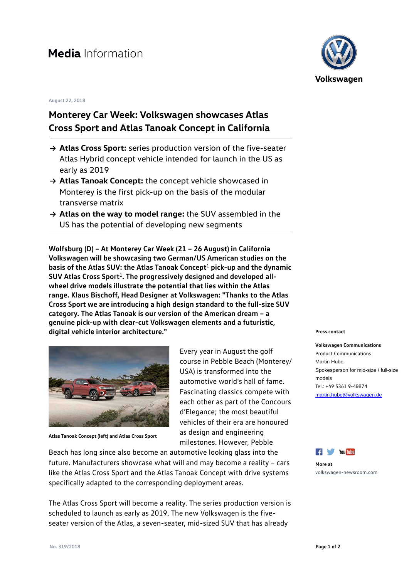## **August 22, 2018**

## **Monterey Car Week: Volkswagen showcases Atlas Cross Sport and Atlas Tanoak Concept in California**

- **→ Atlas Cross Sport:** series production version of the five-seater Atlas Hybrid concept vehicle intended for launch in the US as early as 2019
- **→ Atlas Tanoak Concept:** the concept vehicle showcased in Monterey is the first pick-up on the basis of the modular transverse matrix
- **→ Atlas on the way to model range:** the SUV assembled in the US has the potential of developing new segments

**Wolfsburg (D) – At Monterey Car Week (21 – 26 August) in California Volkswagen will be showcasing two German/US American studies on the basis of the Atlas SUV: the Atlas Tanoak Concept**<sup>1</sup> **pick-up and the dynamic SUV Atlas Cross Sport**1**. The progressively designed and developed allwheel drive models illustrate the potential that lies within the Atlas range. Klaus Bischoff, Head Designer at Volkswagen: "Thanks to the Atlas Cross Sport we are introducing a high design standard to the full-size SUV category. The Atlas Tanoak is our version of the American dream – a genuine pick-up with clear-cut Volkswagen elements and a futuristic, digital vehicle interior architecture."**



**Atlas Tanoak Concept (left) and Atlas Cross Sport**

Every year in August the golf course in Pebble Beach (Monterey/ USA) is transformed into the automotive world's hall of fame. Fascinating classics compete with each other as part of the Concours d'Elegance; the most beautiful vehicles of their era are honoured as design and engineering milestones. However, Pebble

Beach has long since also become an automotive looking glass into the future. Manufacturers showcase what will and may become a reality – cars like the Atlas Cross Sport and the Atlas Tanoak Concept with drive systems specifically adapted to the corresponding deployment areas.

The Atlas Cross Sport will become a reality. The series production version is scheduled to launch as early as 2019. The new Volkswagen is the fiveseater version of the Atlas, a seven-seater, mid-sized SUV that has already



## **Press contact**

**Volkswagen Communications** Product Communications Martin Hube Spokesperson for mid-size / full-size models Tel.: +49 5361 9-49874 [martin.hube@volkswagen.de](mailto:martin.hube@volkswagen.de)



**More at** [volkswagen-newsroom.com](https://www.volkswagen-newsroom.com/)